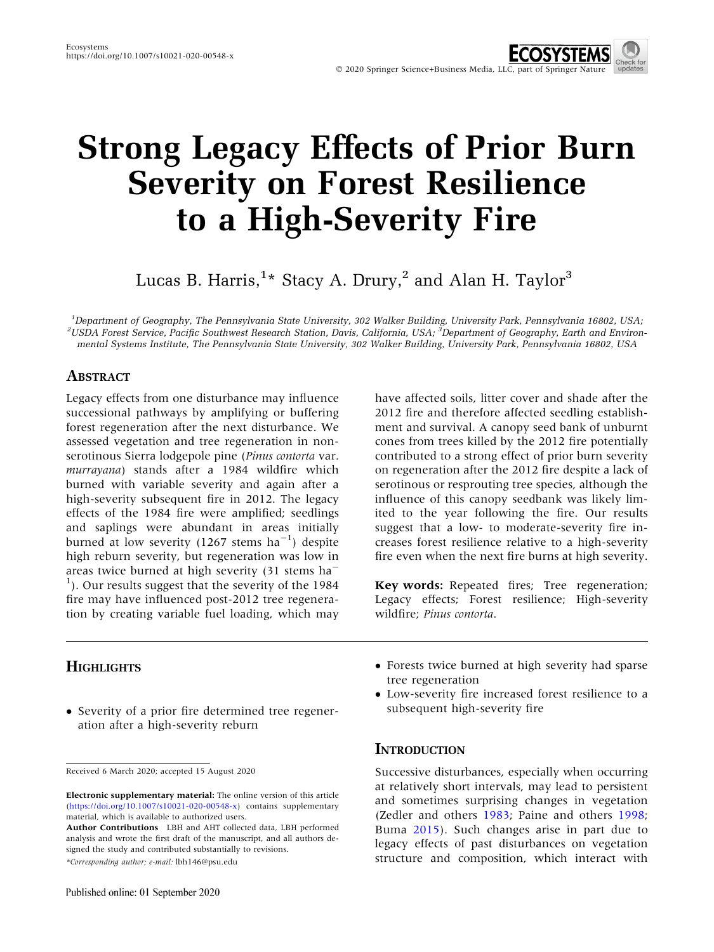# Strong Legacy Effects of Prior Burn Severity on Forest Resilience to a High-Severity Fire

Lucas B. Harris, $^{1\star}$  Stacy A. Drury, $^{2}$  and Alan H. Taylor $^{3}$ 

<sup>1</sup>Department of Geography, The Pennsylvania State University, 302 Walker Building, University Park, Pennsylvania 16802, USA;<br><sup>2</sup>USDA Ferest Service, Pacific Southwest Becagrab Station, Davis, California, USA; <sup>3</sup>Departme USDA Forest Service, Pacific Southwest Research Station, Davis, California, USA; <sup>3</sup>Department of Geography, Earth and Environmental Systems Institute, The Pennsylvania State University, 302 Walker Building, University Park, Pennsylvania 16802, USA

# **ABSTRACT**

Legacy effects from one disturbance may influence successional pathways by amplifying or buffering forest regeneration after the next disturbance. We assessed vegetation and tree regeneration in nonserotinous Sierra lodgepole pine (Pinus contorta var. murrayana) stands after a 1984 wildfire which burned with variable severity and again after a high-severity subsequent fire in 2012. The legacy effects of the 1984 fire were amplified; seedlings and saplings were abundant in areas initially burned at low severity (1267 stems  $ha^{-1}$ ) despite high reburn severity, but regeneration was low in areas twice burned at high severity (31 stems ha-<sup>1</sup>). Our results suggest that the severity of the 1984 fire may have influenced post-2012 tree regeneration by creating variable fuel loading, which may

have affected soils, litter cover and shade after the 2012 fire and therefore affected seedling establishment and survival. A canopy seed bank of unburnt cones from trees killed by the 2012 fire potentially contributed to a strong effect of prior burn severity on regeneration after the 2012 fire despite a lack of serotinous or resprouting tree species, although the influence of this canopy seedbank was likely limited to the year following the fire. Our results suggest that a low- to moderate-severity fire increases forest resilience relative to a high-severity fire even when the next fire burns at high severity.

Key words: Repeated fires; Tree regeneration; Legacy effects; Forest resilience; High-severity wildfire; Pinus contorta.

# **HIGHLIGHTS**

- Severity of a prior fire determined tree regeneration after a high-severity reburn

\*Corresponding author; e-mail: lbh146@psu.edu

- Forests twice burned at high severity had sparse tree regeneration
- Low-severity fire increased forest resilience to a subsequent high-severity fire

## **INTRODUCTION**

Successive disturbances, especially when occurring at relatively short intervals, may lead to persistent and sometimes surprising changes in vegetation (Zedler and others [1983;](#page-13-0) Paine and others [1998](#page-12-0); Buma [2015\)](#page-11-0). Such changes arise in part due to legacy effects of past disturbances on vegetation structure and composition, which interact with

Received 6 March 2020; accepted 15 August 2020

Electronic supplementary material: The online version of this article (<https://doi.org/10.1007/s10021-020-00548-x>) contains supplementary material, which is available to authorized users.

Author Contributions LBH and AHT collected data, LBH performed analysis and wrote the first draft of the manuscript, and all authors designed the study and contributed substantially to revisions.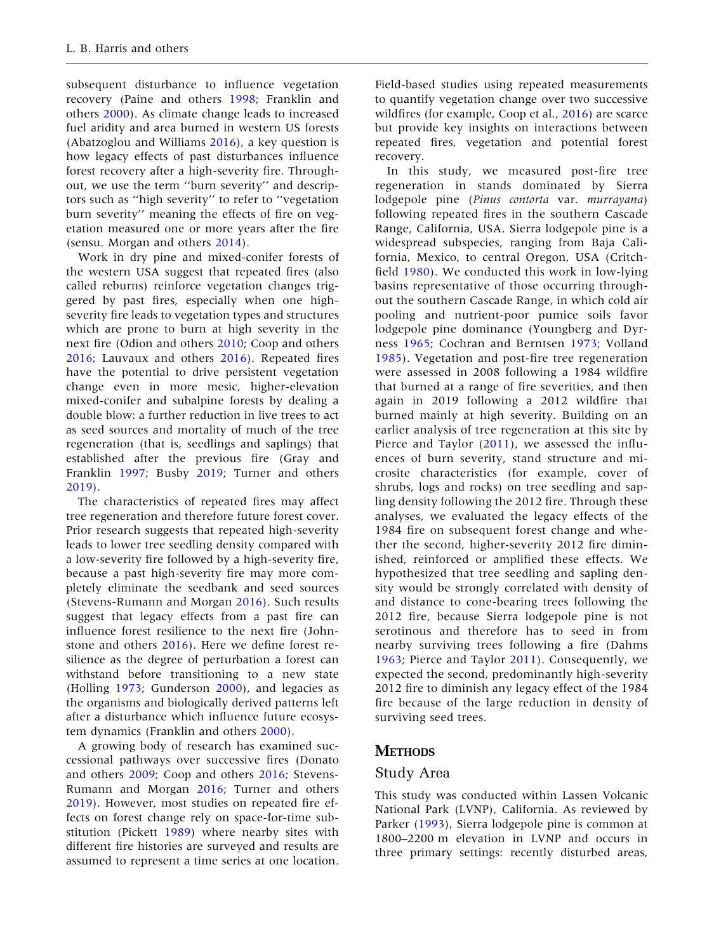subsequent disturbance to influence vegetation recovery (Paine and others [1998;](#page-12-0) Franklin and others [2000\)](#page-12-0). As climate change leads to increased fuel aridity and area burned in western US forests (Abatzoglou and Williams [2016](#page-11-0)), a key question is how legacy effects of past disturbances influence forest recovery after a high-severity fire. Throughout, we use the term ''burn severity'' and descriptors such as ''high severity'' to refer to ''vegetation burn severity'' meaning the effects of fire on vegetation measured one or more years after the fire (sensu. Morgan and others [2014](#page-12-0)).

Work in dry pine and mixed-conifer forests of the western USA suggest that repeated fires (also called reburns) reinforce vegetation changes triggered by past fires, especially when one highseverity fire leads to vegetation types and structures which are prone to burn at high severity in the next fire (Odion and others [2010;](#page-12-0) Coop and others [2016;](#page-11-0) Lauvaux and others [2016](#page-12-0)). Repeated fires have the potential to drive persistent vegetation change even in more mesic, higher-elevation mixed-conifer and subalpine forests by dealing a double blow: a further reduction in live trees to act as seed sources and mortality of much of the tree regeneration (that is, seedlings and saplings) that established after the previous fire (Gray and Franklin [1997;](#page-12-0) Busby [2019;](#page-11-0) Turner and others [2019\)](#page-13-0).

The characteristics of repeated fires may affect tree regeneration and therefore future forest cover. Prior research suggests that repeated high-severity leads to lower tree seedling density compared with a low-severity fire followed by a high-severity fire, because a past high-severity fire may more completely eliminate the seedbank and seed sources (Stevens-Rumann and Morgan [2016](#page-13-0)). Such results suggest that legacy effects from a past fire can influence forest resilience to the next fire (Johnstone and others [2016\)](#page-12-0). Here we define forest resilience as the degree of perturbation a forest can withstand before transitioning to a new state (Holling [1973;](#page-12-0) Gunderson [2000\)](#page-12-0), and legacies as the organisms and biologically derived patterns left after a disturbance which influence future ecosystem dynamics (Franklin and others [2000\)](#page-12-0).

A growing body of research has examined successional pathways over successive fires (Donato and others [2009](#page-11-0); Coop and others [2016](#page-11-0); Stevens-Rumann and Morgan [2016;](#page-13-0) Turner and others [2019\)](#page-13-0). However, most studies on repeated fire effects on forest change rely on space-for-time substitution (Pickett [1989\)](#page-12-0) where nearby sites with different fire histories are surveyed and results are assumed to represent a time series at one location.

Field-based studies using repeated measurements to quantify vegetation change over two successive wildfires (for example, Coop et al., [2016\)](#page-11-0) are scarce but provide key insights on interactions between repeated fires, vegetation and potential forest recovery.

In this study, we measured post-fire tree regeneration in stands dominated by Sierra lodgepole pine (Pinus contorta var. murrayana) following repeated fires in the southern Cascade Range, California, USA. Sierra lodgepole pine is a widespread subspecies, ranging from Baja California, Mexico, to central Oregon, USA (Critchfield [1980\)](#page-11-0). We conducted this work in low-lying basins representative of those occurring throughout the southern Cascade Range, in which cold air pooling and nutrient-poor pumice soils favor lodgepole pine dominance (Youngberg and Dyrness [1965;](#page-13-0) Cochran and Berntsen [1973;](#page-11-0) Volland [1985](#page-13-0)). Vegetation and post-fire tree regeneration were assessed in 2008 following a 1984 wildfire that burned at a range of fire severities, and then again in 2019 following a 2012 wildfire that burned mainly at high severity. Building on an earlier analysis of tree regeneration at this site by Pierce and Taylor ([2011](#page-12-0)), we assessed the influences of burn severity, stand structure and microsite characteristics (for example, cover of shrubs, logs and rocks) on tree seedling and sapling density following the 2012 fire. Through these analyses, we evaluated the legacy effects of the 1984 fire on subsequent forest change and whether the second, higher-severity 2012 fire diminished, reinforced or amplified these effects. We hypothesized that tree seedling and sapling density would be strongly correlated with density of and distance to cone-bearing trees following the 2012 fire, because Sierra lodgepole pine is not serotinous and therefore has to seed in from nearby surviving trees following a fire (Dahms [1963](#page-11-0); Pierce and Taylor [2011\)](#page-12-0). Consequently, we expected the second, predominantly high-severity 2012 fire to diminish any legacy effect of the 1984 fire because of the large reduction in density of surviving seed trees.

# **METHODS**

#### Study Area

This study was conducted within Lassen Volcanic National Park (LVNP), California. As reviewed by Parker ([1993\)](#page-12-0), Sierra lodgepole pine is common at 1800–2200 m elevation in LVNP and occurs in three primary settings: recently disturbed areas,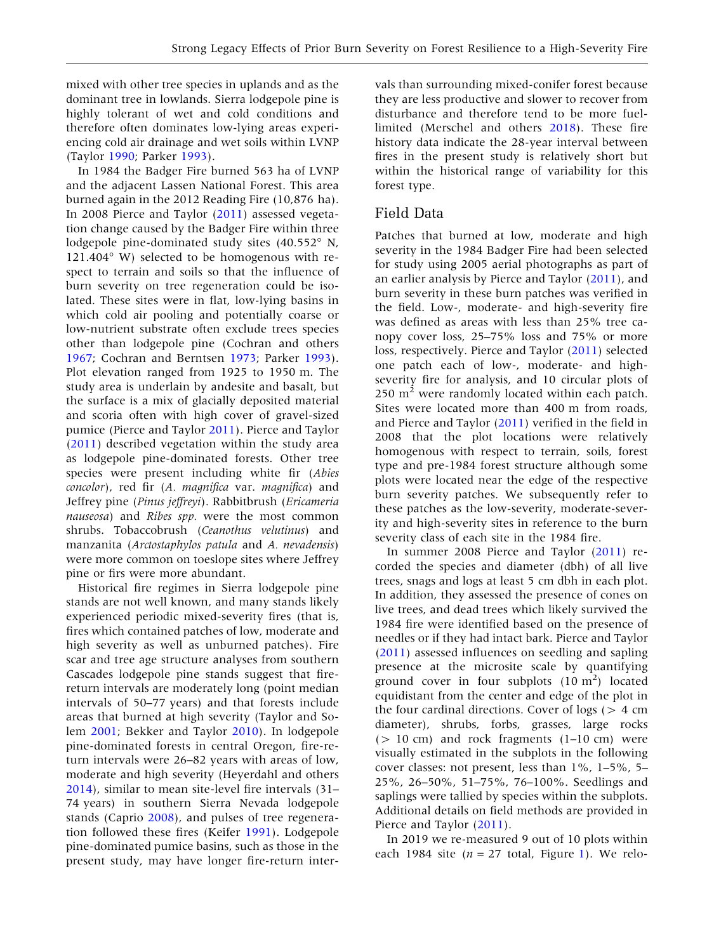mixed with other tree species in uplands and as the dominant tree in lowlands. Sierra lodgepole pine is highly tolerant of wet and cold conditions and therefore often dominates low-lying areas experiencing cold air drainage and wet soils within LVNP (Taylor [1990](#page-13-0); Parker [1993](#page-12-0)).

In 1984 the Badger Fire burned 563 ha of LVNP and the adjacent Lassen National Forest. This area burned again in the 2012 Reading Fire (10,876 ha). In 2008 Pierce and Taylor [\(2011](#page-12-0)) assessed vegetation change caused by the Badger Fire within three lodgepole pine-dominated study sites (40.552° N, 121.404° W) selected to be homogenous with respect to terrain and soils so that the influence of burn severity on tree regeneration could be isolated. These sites were in flat, low-lying basins in which cold air pooling and potentially coarse or low-nutrient substrate often exclude trees species other than lodgepole pine (Cochran and others [1967;](#page-11-0) Cochran and Berntsen [1973](#page-11-0); Parker [1993](#page-12-0)). Plot elevation ranged from 1925 to 1950 m. The study area is underlain by andesite and basalt, but the surface is a mix of glacially deposited material and scoria often with high cover of gravel-sized pumice (Pierce and Taylor [2011\)](#page-12-0). Pierce and Taylor ([2011\)](#page-12-0) described vegetation within the study area as lodgepole pine-dominated forests. Other tree species were present including white fir (Abies concolor), red fir (A. magnifica var. magnifica) and Jeffrey pine (Pinus jeffreyi). Rabbitbrush (Ericameria nauseosa) and Ribes spp. were the most common shrubs. Tobaccobrush (Ceanothus velutinus) and manzanita (Arctostaphylos patula and A. nevadensis) were more common on toeslope sites where Jeffrey pine or firs were more abundant.

Historical fire regimes in Sierra lodgepole pine stands are not well known, and many stands likely experienced periodic mixed-severity fires (that is, fires which contained patches of low, moderate and high severity as well as unburned patches). Fire scar and tree age structure analyses from southern Cascades lodgepole pine stands suggest that firereturn intervals are moderately long (point median intervals of 50–77 years) and that forests include areas that burned at high severity (Taylor and Solem [2001;](#page-13-0) Bekker and Taylor [2010](#page-11-0)). In lodgepole pine-dominated forests in central Oregon, fire-return intervals were 26–82 years with areas of low, moderate and high severity (Heyerdahl and others [2014\)](#page-12-0), similar to mean site-level fire intervals (31– 74 years) in southern Sierra Nevada lodgepole stands (Caprio [2008](#page-11-0)), and pulses of tree regeneration followed these fires (Keifer [1991](#page-12-0)). Lodgepole pine-dominated pumice basins, such as those in the present study, may have longer fire-return inter-

vals than surrounding mixed-conifer forest because they are less productive and slower to recover from disturbance and therefore tend to be more fuellimited (Merschel and others [2018](#page-12-0)). These fire history data indicate the 28-year interval between fires in the present study is relatively short but within the historical range of variability for this forest type.

## Field Data

Patches that burned at low, moderate and high severity in the 1984 Badger Fire had been selected for study using 2005 aerial photographs as part of an earlier analysis by Pierce and Taylor [\(2011](#page-12-0)), and burn severity in these burn patches was verified in the field. Low-, moderate- and high-severity fire was defined as areas with less than 25% tree canopy cover loss, 25–75% loss and 75% or more loss, respectively. Pierce and Taylor [\(2011](#page-12-0)) selected one patch each of low-, moderate- and highseverity fire for analysis, and 10 circular plots of  $250 \text{ m}^2$  were randomly located within each patch. Sites were located more than 400 m from roads, and Pierce and Taylor [\(2011](#page-12-0)) verified in the field in 2008 that the plot locations were relatively homogenous with respect to terrain, soils, forest type and pre-1984 forest structure although some plots were located near the edge of the respective burn severity patches. We subsequently refer to these patches as the low-severity, moderate-severity and high-severity sites in reference to the burn severity class of each site in the 1984 fire.

In summer 2008 Pierce and Taylor [\(2011](#page-12-0)) recorded the species and diameter (dbh) of all live trees, snags and logs at least 5 cm dbh in each plot. In addition, they assessed the presence of cones on live trees, and dead trees which likely survived the 1984 fire were identified based on the presence of needles or if they had intact bark. Pierce and Taylor ([2011\)](#page-12-0) assessed influences on seedling and sapling presence at the microsite scale by quantifying ground cover in four subplots  $(10 \text{ m}^2)$  located equidistant from the center and edge of the plot in the four cardinal directions. Cover of logs ( $> 4$  cm diameter), shrubs, forbs, grasses, large rocks  $(> 10$  cm) and rock fragments  $(1-10$  cm) were visually estimated in the subplots in the following cover classes: not present, less than 1%, 1–5%, 5– 25%, 26–50%, 51–75%, 76–100%. Seedlings and saplings were tallied by species within the subplots. Additional details on field methods are provided in Pierce and Taylor [\(2011](#page-12-0)).

In 2019 we re-measured 9 out of 10 plots within each 1984 site ( $n = 27$  total, Figure [1\)](#page-3-0). We relo-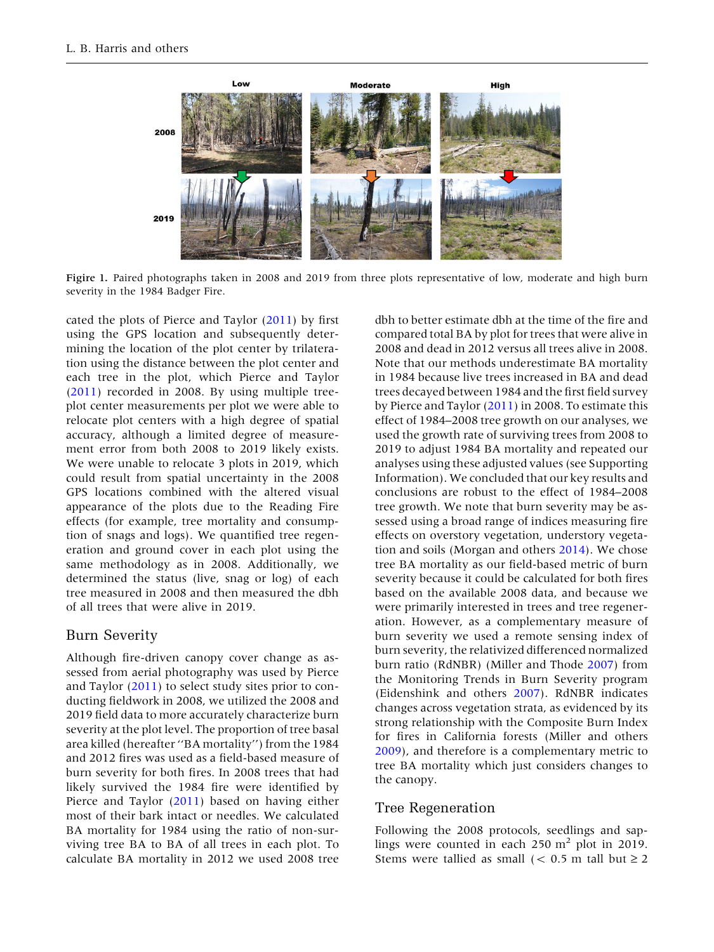<span id="page-3-0"></span>

Figire 1. Paired photographs taken in 2008 and 2019 from three plots representative of low, moderate and high burn severity in the 1984 Badger Fire.

cated the plots of Pierce and Taylor [\(2011](#page-12-0)) by first using the GPS location and subsequently determining the location of the plot center by trilateration using the distance between the plot center and each tree in the plot, which Pierce and Taylor ([2011\)](#page-12-0) recorded in 2008. By using multiple treeplot center measurements per plot we were able to relocate plot centers with a high degree of spatial accuracy, although a limited degree of measurement error from both 2008 to 2019 likely exists. We were unable to relocate 3 plots in 2019, which could result from spatial uncertainty in the 2008 GPS locations combined with the altered visual appearance of the plots due to the Reading Fire effects (for example, tree mortality and consumption of snags and logs). We quantified tree regeneration and ground cover in each plot using the same methodology as in 2008. Additionally, we determined the status (live, snag or log) of each tree measured in 2008 and then measured the dbh of all trees that were alive in 2019.

## Burn Severity

Although fire-driven canopy cover change as assessed from aerial photography was used by Pierce and Taylor [\(2011](#page-12-0)) to select study sites prior to conducting fieldwork in 2008, we utilized the 2008 and 2019 field data to more accurately characterize burn severity at the plot level. The proportion of tree basal area killed (hereafter ''BA mortality'') from the 1984 and 2012 fires was used as a field-based measure of burn severity for both fires. In 2008 trees that had likely survived the 1984 fire were identified by Pierce and Taylor [\(2011](#page-12-0)) based on having either most of their bark intact or needles. We calculated BA mortality for 1984 using the ratio of non-surviving tree BA to BA of all trees in each plot. To calculate BA mortality in 2012 we used 2008 tree

dbh to better estimate dbh at the time of the fire and compared total BA by plot for trees that were alive in 2008 and dead in 2012 versus all trees alive in 2008. Note that our methods underestimate BA mortality in 1984 because live trees increased in BA and dead trees decayed between 1984 and the first field survey by Pierce and Taylor ([2011\)](#page-12-0) in 2008. To estimate this effect of 1984–2008 tree growth on our analyses, we used the growth rate of surviving trees from 2008 to 2019 to adjust 1984 BA mortality and repeated our analyses using these adjusted values (see Supporting Information). We concluded that our key results and conclusions are robust to the effect of 1984–2008 tree growth. We note that burn severity may be assessed using a broad range of indices measuring fire effects on overstory vegetation, understory vegetation and soils (Morgan and others [2014\)](#page-12-0). We chose tree BA mortality as our field-based metric of burn severity because it could be calculated for both fires based on the available 2008 data, and because we were primarily interested in trees and tree regeneration. However, as a complementary measure of burn severity we used a remote sensing index of burn severity, the relativized differenced normalized burn ratio (RdNBR) (Miller and Thode [2007\)](#page-12-0) from the Monitoring Trends in Burn Severity program (Eidenshink and others [2007](#page-12-0)). RdNBR indicates changes across vegetation strata, as evidenced by its strong relationship with the Composite Burn Index for fires in California forests (Miller and others [2009\)](#page-12-0), and therefore is a complementary metric to tree BA mortality which just considers changes to the canopy.

#### Tree Regeneration

Following the 2008 protocols, seedlings and saplings were counted in each  $250 \text{ m}^2$  plot in 2019. Stems were tallied as small  $(< 0.5$  m tall but  $\ge 2$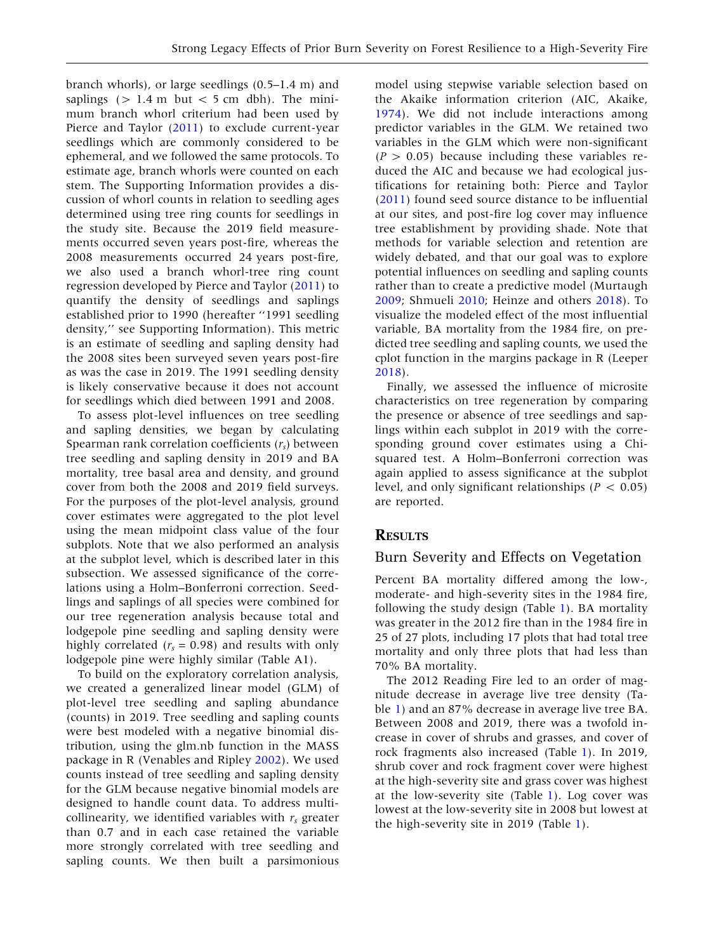branch whorls), or large seedlings (0.5–1.4 m) and saplings  $(> 1.4 \text{ m}$  but  $< 5 \text{ cm}$  dbh). The minimum branch whorl criterium had been used by Pierce and Taylor ([2011\)](#page-12-0) to exclude current-year seedlings which are commonly considered to be ephemeral, and we followed the same protocols. To estimate age, branch whorls were counted on each stem. The Supporting Information provides a discussion of whorl counts in relation to seedling ages determined using tree ring counts for seedlings in the study site. Because the 2019 field measurements occurred seven years post-fire, whereas the 2008 measurements occurred 24 years post-fire, we also used a branch whorl-tree ring count regression developed by Pierce and Taylor ([2011](#page-12-0)) to quantify the density of seedlings and saplings established prior to 1990 (hereafter ''1991 seedling density,'' see Supporting Information). This metric is an estimate of seedling and sapling density had the 2008 sites been surveyed seven years post-fire as was the case in 2019. The 1991 seedling density is likely conservative because it does not account for seedlings which died between 1991 and 2008.

To assess plot-level influences on tree seedling and sapling densities, we began by calculating Spearman rank correlation coefficients  $(r<sub>s</sub>)$  between tree seedling and sapling density in 2019 and BA mortality, tree basal area and density, and ground cover from both the 2008 and 2019 field surveys. For the purposes of the plot-level analysis, ground cover estimates were aggregated to the plot level using the mean midpoint class value of the four subplots. Note that we also performed an analysis at the subplot level, which is described later in this subsection. We assessed significance of the correlations using a Holm–Bonferroni correction. Seedlings and saplings of all species were combined for our tree regeneration analysis because total and lodgepole pine seedling and sapling density were highly correlated ( $r_s$  = 0.98) and results with only lodgepole pine were highly similar (Table A1).

To build on the exploratory correlation analysis, we created a generalized linear model (GLM) of plot-level tree seedling and sapling abundance (counts) in 2019. Tree seedling and sapling counts were best modeled with a negative binomial distribution, using the glm.nb function in the MASS package in R (Venables and Ripley [2002](#page-13-0)). We used counts instead of tree seedling and sapling density for the GLM because negative binomial models are designed to handle count data. To address multicollinearity, we identified variables with  $r_s$  greater than 0.7 and in each case retained the variable more strongly correlated with tree seedling and sapling counts. We then built a parsimonious

model using stepwise variable selection based on the Akaike information criterion (AIC, Akaike, [1974\)](#page-11-0). We did not include interactions among predictor variables in the GLM. We retained two variables in the GLM which were non-significant  $(P > 0.05)$  because including these variables reduced the AIC and because we had ecological justifications for retaining both: Pierce and Taylor ([2011\)](#page-12-0) found seed source distance to be influential at our sites, and post-fire log cover may influence tree establishment by providing shade. Note that methods for variable selection and retention are widely debated, and that our goal was to explore potential influences on seedling and sapling counts rather than to create a predictive model (Murtaugh [2009;](#page-12-0) Shmueli [2010](#page-12-0); Heinze and others [2018\)](#page-12-0). To visualize the modeled effect of the most influential variable, BA mortality from the 1984 fire, on predicted tree seedling and sapling counts, we used the cplot function in the margins package in R (Leeper [2018\)](#page-12-0).

Finally, we assessed the influence of microsite characteristics on tree regeneration by comparing the presence or absence of tree seedlings and saplings within each subplot in 2019 with the corresponding ground cover estimates using a Chisquared test. A Holm–Bonferroni correction was again applied to assess significance at the subplot level, and only significant relationships ( $P < 0.05$ ) are reported.

## **RESULTS**

#### Burn Severity and Effects on Vegetation

Percent BA mortality differed among the low-, moderate- and high-severity sites in the 1984 fire, following the study design (Table [1\)](#page-5-0). BA mortality was greater in the 2012 fire than in the 1984 fire in 25 of 27 plots, including 17 plots that had total tree mortality and only three plots that had less than 70% BA mortality.

The 2012 Reading Fire led to an order of magnitude decrease in average live tree density (Table [1\)](#page-5-0) and an 87% decrease in average live tree BA. Between 2008 and 2019, there was a twofold increase in cover of shrubs and grasses, and cover of rock fragments also increased (Table [1\)](#page-5-0). In 2019, shrub cover and rock fragment cover were highest at the high-severity site and grass cover was highest at the low-severity site (Table [1\)](#page-5-0). Log cover was lowest at the low-severity site in 2008 but lowest at the high-severity site in 2019 (Table [1\)](#page-5-0).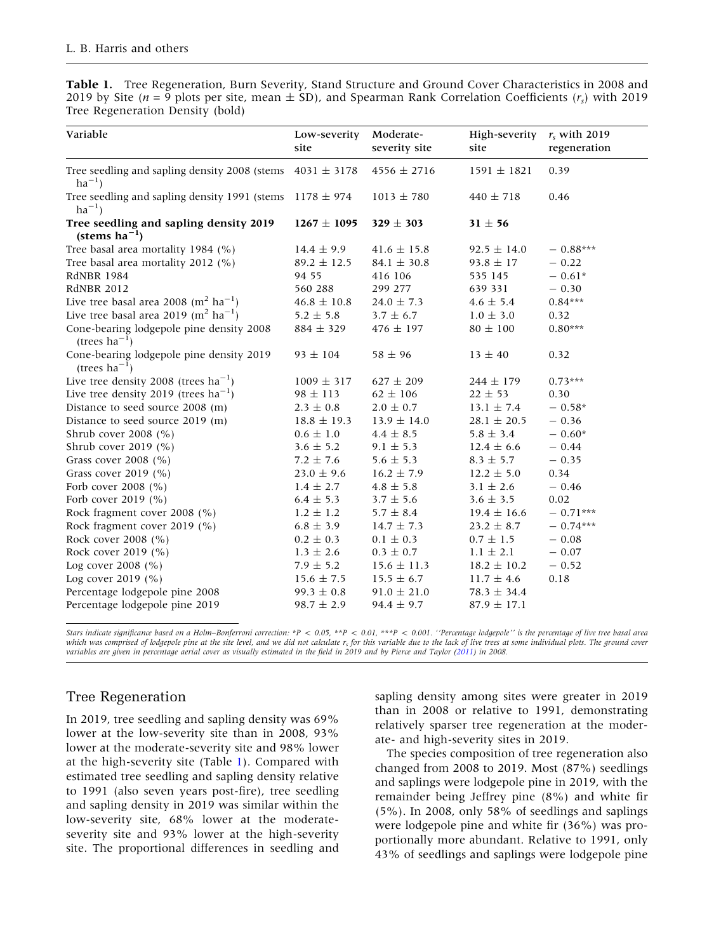<span id="page-5-0"></span>Table 1. Tree Regeneration, Burn Severity, Stand Structure and Ground Cover Characteristics in 2008 and 2019 by Site ( $n = 9$  plots per site, mean  $\pm$  SD), and Spearman Rank Correlation Coefficients ( $r_s$ ) with 2019 Tree Regeneration Density (bold)

| Variable                                                                     | Low-severity<br>site | Moderate-<br>severity site | High-severity<br>site | $r_s$ with 2019<br>regeneration |
|------------------------------------------------------------------------------|----------------------|----------------------------|-----------------------|---------------------------------|
| Tree seedling and sapling density 2008 (stems $4031 \pm 3178$<br>$ha^{-1}$ ) |                      | $4556 \pm 2716$            | $1591 \pm 1821$       | 0.39                            |
| Tree seedling and sapling density 1991 (stems $1178 \pm 974$<br>$ha^{-1}$ )  |                      | $1013 \pm 780$             | $440 \pm 718$         | 0.46                            |
| Tree seedling and sapling density 2019<br>(stems $ha^{-1}$ )                 | $1267 \pm 1095$      | $329 \pm 303$              | $31 \pm 56$           |                                 |
| Tree basal area mortality 1984 (%)                                           | $14.4 \pm 9.9$       | $41.6 \pm 15.8$            | $92.5 \pm 14.0$       | $-0.88***$                      |
| Tree basal area mortality 2012 (%)                                           | $89.2 \pm 12.5$      | $84.1 \pm 30.8$            | $93.8 \pm 17$         | $-0.22$                         |
| <b>RdNBR 1984</b>                                                            | 94 55                | 416 106                    | 535 145               | $-0.61*$                        |
| <b>RdNBR 2012</b>                                                            | 560 288              | 299 277                    | 639 331               | $-0.30$                         |
| Live tree basal area 2008 ( $m^2$ ha <sup>-1</sup> )                         | $46.8 \pm 10.8$      | $24.0 \pm 7.3$             | $4.6 \pm 5.4$         | $0.84***$                       |
| Live tree basal area 2019 ( $m^2$ ha <sup>-1</sup> )                         | $5.2 \pm 5.8$        | $3.7 \pm 6.7$              | $1.0 \pm 3.0$         | 0.32                            |
| Cone-bearing lodgepole pine density 2008<br>(trees $ha^{-1}$ )               | $884 \pm 329$        | $476 \pm 197$              | $80 \pm 100$          | $0.80***$                       |
| Cone-bearing lodgepole pine density 2019<br>(trees $ha^{-1}$ )               | $93 \pm 104$         | $58 \pm 96$                | $13 \pm 40$           | 0.32                            |
| Live tree density 2008 (trees $ha^{-1}$ )                                    | $1009 \pm 317$       | $627 \pm 209$              | $244 \pm 179$         | $0.73***$                       |
| Live tree density 2019 (trees $ha^{-1}$ )                                    | $98 \pm 113$         | $62 \pm 106$               | $22 \pm 53$           | 0.30                            |
| Distance to seed source 2008 (m)                                             | $2.3 \pm 0.8$        | $2.0 \pm 0.7$              | $13.1 \pm 7.4$        | $-0.58*$                        |
| Distance to seed source 2019 (m)                                             | $18.8 \pm 19.3$      | $13.9 \pm 14.0$            | $28.1 \pm 20.5$       | $-0.36$                         |
| Shrub cover 2008 (%)                                                         | $0.6 \pm 1.0$        | $4.4 \pm 8.5$              | $5.8 \pm 3.4$         | $-0.60*$                        |
| Shrub cover 2019 (%)                                                         | $3.6 \pm 5.2$        | $9.1 \pm 5.3$              | $12.4 \pm 6.6$        | $-0.44$                         |
| Grass cover 2008 (%)                                                         | $7.2 \pm 7.6$        | $5.6 \pm 5.3$              | $8.3 \pm 5.7$         | $-0.35$                         |
| Grass cover 2019 (%)                                                         | $23.0 \pm 9.6$       | $16.2 \pm 7.9$             | $12.2 \pm 5.0$        | 0.34                            |
| Forb cover 2008 (%)                                                          | $1.4 \pm 2.7$        | $4.8 \pm 5.8$              | $3.1 \pm 2.6$         | $-0.46$                         |
| Forb cover 2019 (%)                                                          | $6.4 \pm 5.3$        | $3.7 \pm 5.6$              | $3.6 \pm 3.5$         | 0.02                            |
| Rock fragment cover 2008 (%)                                                 | $1.2 \pm 1.2$        | $5.7 \pm 8.4$              | $19.4 \pm 16.6$       | $-0.71***$                      |
| Rock fragment cover 2019 (%)                                                 | $6.8 \pm 3.9$        | $14.7 \pm 7.3$             | $23.2 \pm 8.7$        | $-0.74***$                      |
| Rock cover 2008 (%)                                                          | $0.2 \pm 0.3$        | $0.1 \pm 0.3$              | $0.7 \pm 1.5$         | $-0.08$                         |
| Rock cover 2019 (%)                                                          | $1.3 \pm 2.6$        | $0.3 \pm 0.7$              | $1.1 \pm 2.1$         | $-0.07$                         |
| Log cover 2008 (%)                                                           | $7.9 \pm 5.2$        | $15.6 \pm 11.3$            | $18.2 \pm 10.2$       | $-0.52$                         |
| Log cover 2019 (%)                                                           | $15.6 \pm 7.5$       | $15.5 \pm 6.7$             | $11.7 \pm 4.6$        | 0.18                            |
| Percentage lodgepole pine 2008                                               | $99.3 \pm 0.8$       | $91.0 \pm 21.0$            | $78.3 \pm 34.4$       |                                 |
| Percentage lodgepole pine 2019                                               | $98.7 \pm 2.9$       | $94.4 \pm 9.7$             | $87.9 \pm 17.1$       |                                 |

Stars indicate significance based on a Holm–Bonferroni correction: \*P < 0.05, \*\*P < 0.01, \*\*\*P < 0.001. ''Percentage lodgepole'' is the percentage of live tree basal area which was comprised of lodgepole pine at the site level, and we did not calculate  $r_s$  for this variable due to the lack of live trees at some individual plots. The ground cover variables are given in percentage aerial cover as visually estimated in the field in 2019 and by Pierce and Taylor ([2011\)](#page-12-0) in 2008.

# Tree Regeneration

In 2019, tree seedling and sapling density was 69% lower at the low-severity site than in 2008, 93% lower at the moderate-severity site and 98% lower at the high-severity site (Table 1). Compared with estimated tree seedling and sapling density relative to 1991 (also seven years post-fire), tree seedling and sapling density in 2019 was similar within the low-severity site, 68% lower at the moderateseverity site and 93% lower at the high-severity site. The proportional differences in seedling and sapling density among sites were greater in 2019 than in 2008 or relative to 1991, demonstrating relatively sparser tree regeneration at the moderate- and high-severity sites in 2019.

The species composition of tree regeneration also changed from 2008 to 2019. Most (87%) seedlings and saplings were lodgepole pine in 2019, with the remainder being Jeffrey pine (8%) and white fir (5%). In 2008, only 58% of seedlings and saplings were lodgepole pine and white fir (36%) was proportionally more abundant. Relative to 1991, only 43% of seedlings and saplings were lodgepole pine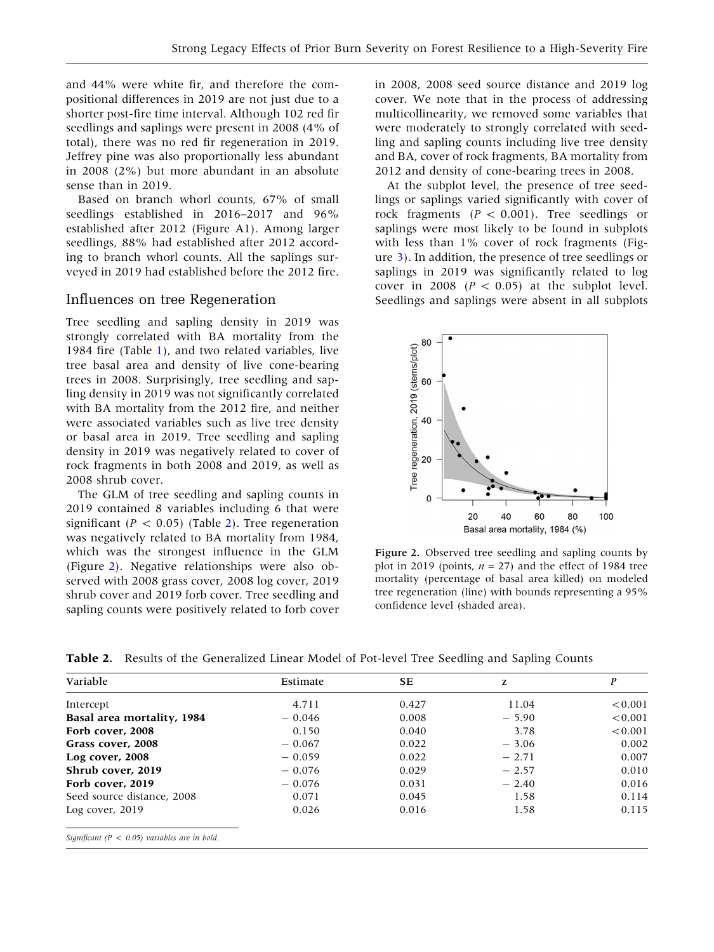and 44% were white fir, and therefore the compositional differences in 2019 are not just due to a shorter post-fire time interval. Although 102 red fir seedlings and saplings were present in 2008 (4% of total), there was no red fir regeneration in 2019. Jeffrey pine was also proportionally less abundant in 2008 (2%) but more abundant in an absolute sense than in 2019.

Based on branch whorl counts, 67% of small seedlings established in 2016–2017 and 96% established after 2012 (Figure A1). Among larger seedlings, 88% had established after 2012 according to branch whorl counts. All the saplings surveyed in 2019 had established before the 2012 fire.

# Influences on tree Regeneration

Tree seedling and sapling density in 2019 was strongly correlated with BA mortality from the 1984 fire (Table [1](#page-5-0)), and two related variables, live tree basal area and density of live cone-bearing trees in 2008. Surprisingly, tree seedling and sapling density in 2019 was not significantly correlated with BA mortality from the 2012 fire, and neither were associated variables such as live tree density or basal area in 2019. Tree seedling and sapling density in 2019 was negatively related to cover of rock fragments in both 2008 and 2019, as well as 2008 shrub cover.

The GLM of tree seedling and sapling counts in 2019 contained 8 variables including 6 that were significant ( $P < 0.05$ ) (Table 2). Tree regeneration was negatively related to BA mortality from 1984, which was the strongest influence in the GLM (Figure 2). Negative relationships were also observed with 2008 grass cover, 2008 log cover, 2019 shrub cover and 2019 forb cover. Tree seedling and sapling counts were positively related to forb cover in 2008, 2008 seed source distance and 2019 log cover. We note that in the process of addressing multicollinearity, we removed some variables that were moderately to strongly correlated with seedling and sapling counts including live tree density and BA, cover of rock fragments, BA mortality from 2012 and density of cone-bearing trees in 2008.

At the subplot level, the presence of tree seedlings or saplings varied significantly with cover of rock fragments ( $P < 0.001$ ). Tree seedlings or saplings were most likely to be found in subplots with less than 1% cover of rock fragments (Figure [3\)](#page-7-0). In addition, the presence of tree seedlings or saplings in 2019 was significantly related to log cover in 2008 ( $P < 0.05$ ) at the subplot level. Seedlings and saplings were absent in all subplots



Figure 2. Observed tree seedling and sapling counts by plot in 2019 (points,  $n = 27$ ) and the effect of 1984 tree mortality (percentage of basal area killed) on modeled tree regeneration (line) with bounds representing a 95% confidence level (shaded area).

Table 2. Results of the Generalized Linear Model of Pot-level Tree Seedling and Sapling Counts

| Variable                                          | Estimate | SE    | z       | P       |
|---------------------------------------------------|----------|-------|---------|---------|
| Intercept                                         | 4.711    | 0.427 | 11.04   | < 0.001 |
| Basal area mortality, 1984                        | $-0.046$ | 0.008 | $-5.90$ | < 0.001 |
| Forb cover, 2008                                  | 0.150    | 0.040 | 3.78    | < 0.001 |
| Grass cover, 2008                                 | $-0.067$ | 0.022 | $-3.06$ | 0.002   |
| Log cover, 2008                                   | $-0.059$ | 0.022 | $-2.71$ | 0.007   |
| Shrub cover, 2019                                 | $-0.076$ | 0.029 | $-2.57$ | 0.010   |
| Forb cover, 2019                                  | $-0.076$ | 0.031 | $-2.40$ | 0.016   |
| Seed source distance, 2008                        | 0.071    | 0.045 | 1.58    | 0.114   |
| Log cover, $2019$                                 | 0.026    | 0.016 | 1.58    | 0.115   |
| Significant ( $P < 0.05$ ) variables are in bold. |          |       |         |         |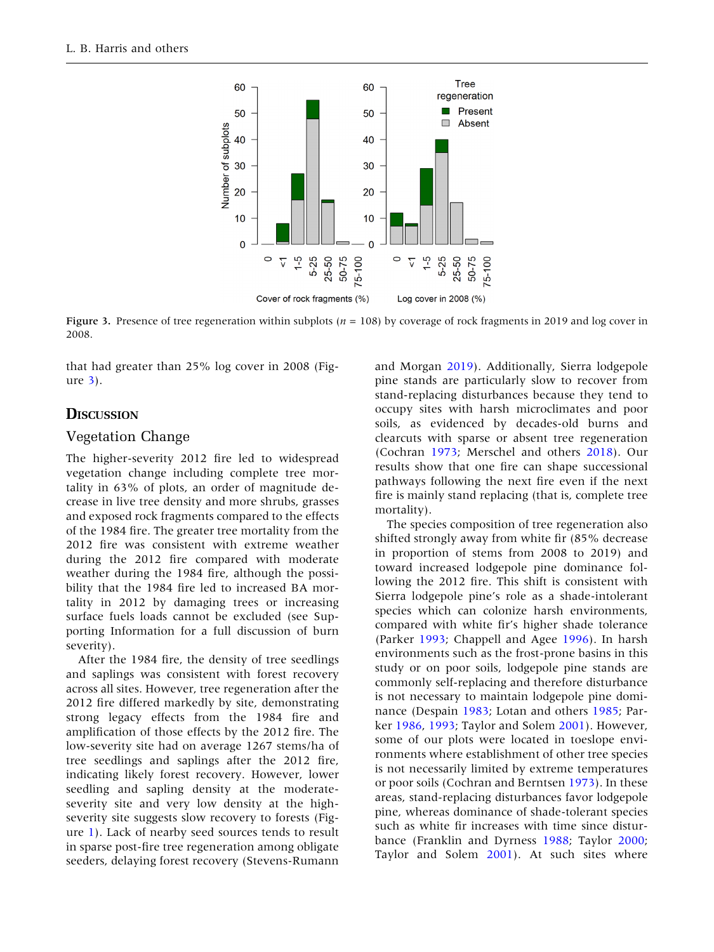<span id="page-7-0"></span>

Figure 3. Presence of tree regeneration within subplots ( $n = 108$ ) by coverage of rock fragments in 2019 and log cover in 2008.

that had greater than 25% log cover in 2008 (Figure 3).

# **DISCUSSION**

## Vegetation Change

The higher-severity 2012 fire led to widespread vegetation change including complete tree mortality in 63% of plots, an order of magnitude decrease in live tree density and more shrubs, grasses and exposed rock fragments compared to the effects of the 1984 fire. The greater tree mortality from the 2012 fire was consistent with extreme weather during the 2012 fire compared with moderate weather during the 1984 fire, although the possibility that the 1984 fire led to increased BA mortality in 2012 by damaging trees or increasing surface fuels loads cannot be excluded (see Supporting Information for a full discussion of burn severity).

After the 1984 fire, the density of tree seedlings and saplings was consistent with forest recovery across all sites. However, tree regeneration after the 2012 fire differed markedly by site, demonstrating strong legacy effects from the 1984 fire and amplification of those effects by the 2012 fire. The low-severity site had on average 1267 stems/ha of tree seedlings and saplings after the 2012 fire, indicating likely forest recovery. However, lower seedling and sapling density at the moderateseverity site and very low density at the highseverity site suggests slow recovery to forests (Figure [1\)](#page-3-0). Lack of nearby seed sources tends to result in sparse post-fire tree regeneration among obligate seeders, delaying forest recovery (Stevens-Rumann

and Morgan [2019\)](#page-13-0). Additionally, Sierra lodgepole pine stands are particularly slow to recover from stand-replacing disturbances because they tend to occupy sites with harsh microclimates and poor soils, as evidenced by decades-old burns and clearcuts with sparse or absent tree regeneration (Cochran [1973;](#page-11-0) Merschel and others [2018\)](#page-12-0). Our results show that one fire can shape successional pathways following the next fire even if the next fire is mainly stand replacing (that is, complete tree mortality).

The species composition of tree regeneration also shifted strongly away from white fir (85% decrease in proportion of stems from 2008 to 2019) and toward increased lodgepole pine dominance following the 2012 fire. This shift is consistent with Sierra lodgepole pine's role as a shade-intolerant species which can colonize harsh environments, compared with white fir's higher shade tolerance (Parker [1993;](#page-12-0) Chappell and Agee [1996\)](#page-11-0). In harsh environments such as the frost-prone basins in this study or on poor soils, lodgepole pine stands are commonly self-replacing and therefore disturbance is not necessary to maintain lodgepole pine dominance (Despain [1983;](#page-11-0) Lotan and others [1985;](#page-12-0) Parker [1986](#page-12-0), [1993;](#page-12-0) Taylor and Solem [2001\)](#page-13-0). However, some of our plots were located in toeslope environments where establishment of other tree species is not necessarily limited by extreme temperatures or poor soils (Cochran and Berntsen [1973\)](#page-11-0). In these areas, stand-replacing disturbances favor lodgepole pine, whereas dominance of shade-tolerant species such as white fir increases with time since disturbance (Franklin and Dyrness [1988](#page-12-0); Taylor [2000](#page-13-0); Taylor and Solem [2001\)](#page-13-0). At such sites where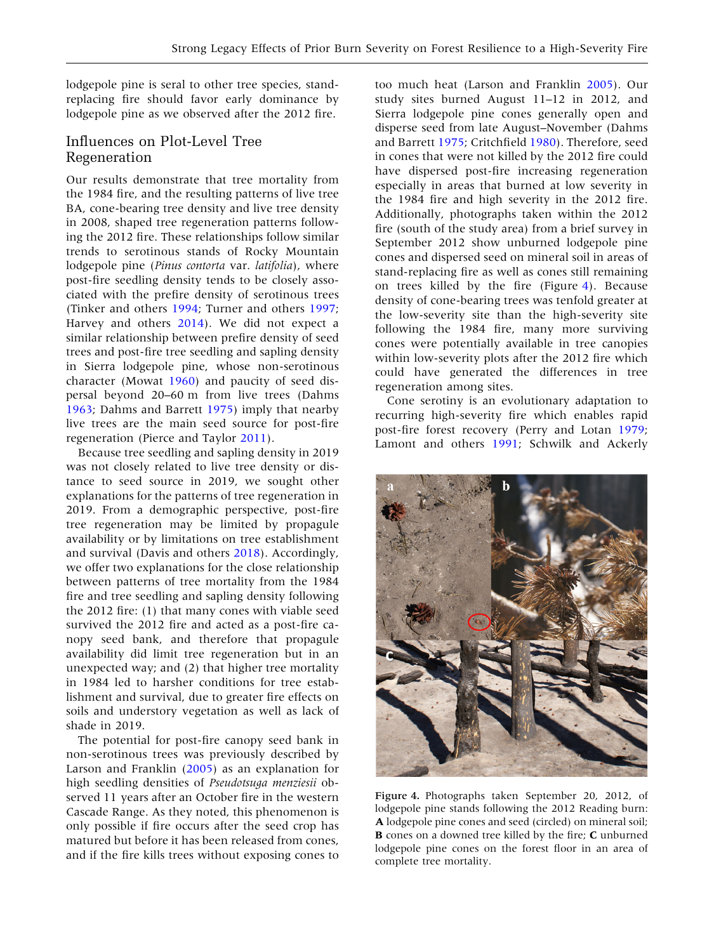lodgepole pine is seral to other tree species, standreplacing fire should favor early dominance by lodgepole pine as we observed after the 2012 fire.

## Influences on Plot-Level Tree Regeneration

Our results demonstrate that tree mortality from the 1984 fire, and the resulting patterns of live tree BA, cone-bearing tree density and live tree density in 2008, shaped tree regeneration patterns following the 2012 fire. These relationships follow similar trends to serotinous stands of Rocky Mountain lodgepole pine (Pinus contorta var. latifolia), where post-fire seedling density tends to be closely associated with the prefire density of serotinous trees (Tinker and others [1994;](#page-13-0) Turner and others [1997](#page-13-0); Harvey and others [2014\)](#page-12-0). We did not expect a similar relationship between prefire density of seed trees and post-fire tree seedling and sapling density in Sierra lodgepole pine, whose non-serotinous character (Mowat [1960](#page-12-0)) and paucity of seed dispersal beyond 20–60 m from live trees (Dahms [1963;](#page-11-0) Dahms and Barrett [1975](#page-11-0)) imply that nearby live trees are the main seed source for post-fire regeneration (Pierce and Taylor [2011\)](#page-12-0).

Because tree seedling and sapling density in 2019 was not closely related to live tree density or distance to seed source in 2019, we sought other explanations for the patterns of tree regeneration in 2019. From a demographic perspective, post-fire tree regeneration may be limited by propagule availability or by limitations on tree establishment and survival (Davis and others [2018](#page-11-0)). Accordingly, we offer two explanations for the close relationship between patterns of tree mortality from the 1984 fire and tree seedling and sapling density following the 2012 fire: (1) that many cones with viable seed survived the 2012 fire and acted as a post-fire canopy seed bank, and therefore that propagule availability did limit tree regeneration but in an unexpected way; and (2) that higher tree mortality in 1984 led to harsher conditions for tree establishment and survival, due to greater fire effects on soils and understory vegetation as well as lack of shade in 2019.

The potential for post-fire canopy seed bank in non-serotinous trees was previously described by Larson and Franklin ([2005](#page-12-0)) as an explanation for high seedling densities of Pseudotsuga menziesii observed 11 years after an October fire in the western Cascade Range. As they noted, this phenomenon is only possible if fire occurs after the seed crop has matured but before it has been released from cones, and if the fire kills trees without exposing cones to

too much heat (Larson and Franklin [2005](#page-12-0)). Our study sites burned August 11–12 in 2012, and Sierra lodgepole pine cones generally open and disperse seed from late August–November (Dahms and Barrett [1975](#page-11-0); Critchfield [1980\)](#page-11-0). Therefore, seed in cones that were not killed by the 2012 fire could have dispersed post-fire increasing regeneration especially in areas that burned at low severity in the 1984 fire and high severity in the 2012 fire. Additionally, photographs taken within the 2012 fire (south of the study area) from a brief survey in September 2012 show unburned lodgepole pine cones and dispersed seed on mineral soil in areas of stand-replacing fire as well as cones still remaining on trees killed by the fire (Figure 4). Because density of cone-bearing trees was tenfold greater at the low-severity site than the high-severity site following the 1984 fire, many more surviving cones were potentially available in tree canopies within low-severity plots after the 2012 fire which could have generated the differences in tree regeneration among sites.

Cone serotiny is an evolutionary adaptation to recurring high-severity fire which enables rapid post-fire forest recovery (Perry and Lotan [1979](#page-12-0); Lamont and others [1991](#page-12-0); Schwilk and Ackerly



Figure 4. Photographs taken September 20, 2012, of lodgepole pine stands following the 2012 Reading burn: A lodgepole pine cones and seed (circled) on mineral soil; B cones on a downed tree killed by the fire; C unburned lodgepole pine cones on the forest floor in an area of complete tree mortality.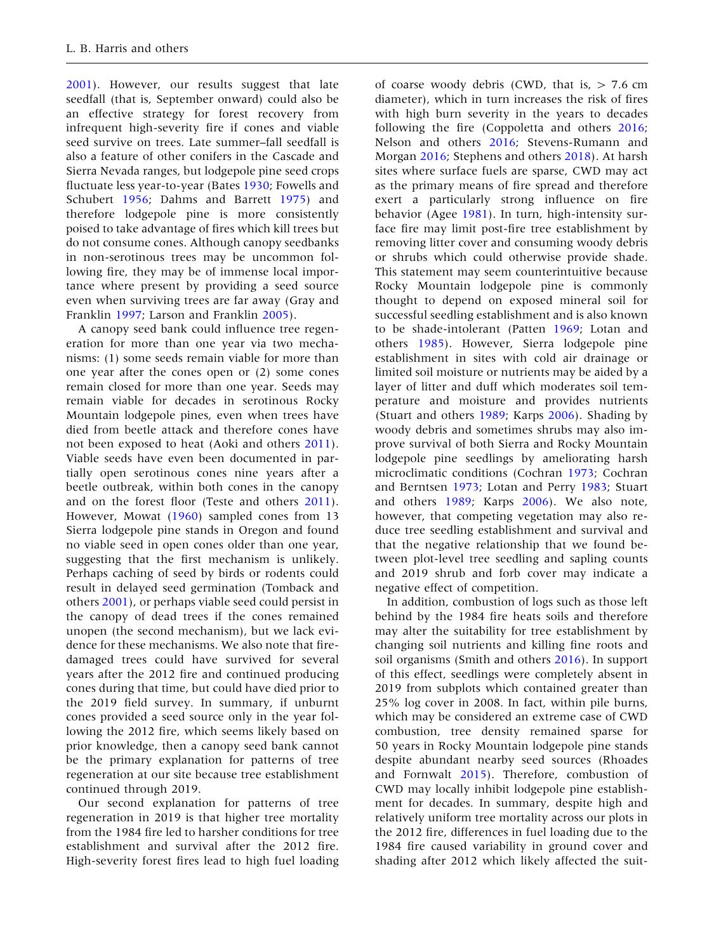[2001\)](#page-12-0). However, our results suggest that late seedfall (that is, September onward) could also be an effective strategy for forest recovery from infrequent high-severity fire if cones and viable seed survive on trees. Late summer–fall seedfall is also a feature of other conifers in the Cascade and Sierra Nevada ranges, but lodgepole pine seed crops fluctuate less year-to-year (Bates [1930](#page-11-0); Fowells and Schubert [1956;](#page-12-0) Dahms and Barrett [1975\)](#page-11-0) and therefore lodgepole pine is more consistently poised to take advantage of fires which kill trees but do not consume cones. Although canopy seedbanks in non-serotinous trees may be uncommon following fire, they may be of immense local importance where present by providing a seed source even when surviving trees are far away (Gray and Franklin [1997](#page-12-0); Larson and Franklin [2005](#page-12-0)).

A canopy seed bank could influence tree regeneration for more than one year via two mechanisms: (1) some seeds remain viable for more than one year after the cones open or (2) some cones remain closed for more than one year. Seeds may remain viable for decades in serotinous Rocky Mountain lodgepole pines, even when trees have died from beetle attack and therefore cones have not been exposed to heat (Aoki and others [2011](#page-11-0)). Viable seeds have even been documented in partially open serotinous cones nine years after a beetle outbreak, within both cones in the canopy and on the forest floor (Teste and others [2011](#page-13-0)). However, Mowat ([1960\)](#page-12-0) sampled cones from 13 Sierra lodgepole pine stands in Oregon and found no viable seed in open cones older than one year, suggesting that the first mechanism is unlikely. Perhaps caching of seed by birds or rodents could result in delayed seed germination (Tomback and others [2001](#page-13-0)), or perhaps viable seed could persist in the canopy of dead trees if the cones remained unopen (the second mechanism), but we lack evidence for these mechanisms. We also note that firedamaged trees could have survived for several years after the 2012 fire and continued producing cones during that time, but could have died prior to the 2019 field survey. In summary, if unburnt cones provided a seed source only in the year following the 2012 fire, which seems likely based on prior knowledge, then a canopy seed bank cannot be the primary explanation for patterns of tree regeneration at our site because tree establishment continued through 2019.

Our second explanation for patterns of tree regeneration in 2019 is that higher tree mortality from the 1984 fire led to harsher conditions for tree establishment and survival after the 2012 fire. High-severity forest fires lead to high fuel loading

of coarse woody debris (CWD, that is,  $> 7.6$  cm diameter), which in turn increases the risk of fires with high burn severity in the years to decades following the fire (Coppoletta and others [2016](#page-11-0); Nelson and others [2016](#page-12-0); Stevens-Rumann and Morgan [2016;](#page-13-0) Stephens and others [2018\)](#page-12-0). At harsh sites where surface fuels are sparse, CWD may act as the primary means of fire spread and therefore exert a particularly strong influence on fire behavior (Agee [1981](#page-11-0)). In turn, high-intensity surface fire may limit post-fire tree establishment by removing litter cover and consuming woody debris or shrubs which could otherwise provide shade. This statement may seem counterintuitive because Rocky Mountain lodgepole pine is commonly thought to depend on exposed mineral soil for successful seedling establishment and is also known to be shade-intolerant (Patten [1969](#page-12-0); Lotan and others [1985\)](#page-12-0). However, Sierra lodgepole pine establishment in sites with cold air drainage or limited soil moisture or nutrients may be aided by a layer of litter and duff which moderates soil temperature and moisture and provides nutrients (Stuart and others [1989](#page-13-0); Karps [2006](#page-12-0)). Shading by woody debris and sometimes shrubs may also improve survival of both Sierra and Rocky Mountain lodgepole pine seedlings by ameliorating harsh microclimatic conditions (Cochran [1973](#page-11-0); Cochran and Berntsen [1973;](#page-11-0) Lotan and Perry [1983](#page-12-0); Stuart and others [1989](#page-13-0); Karps [2006\)](#page-12-0). We also note, however, that competing vegetation may also reduce tree seedling establishment and survival and that the negative relationship that we found between plot-level tree seedling and sapling counts and 2019 shrub and forb cover may indicate a negative effect of competition.

In addition, combustion of logs such as those left behind by the 1984 fire heats soils and therefore may alter the suitability for tree establishment by changing soil nutrients and killing fine roots and soil organisms (Smith and others [2016](#page-12-0)). In support of this effect, seedlings were completely absent in 2019 from subplots which contained greater than 25% log cover in 2008. In fact, within pile burns, which may be considered an extreme case of CWD combustion, tree density remained sparse for 50 years in Rocky Mountain lodgepole pine stands despite abundant nearby seed sources (Rhoades and Fornwalt [2015\)](#page-12-0). Therefore, combustion of CWD may locally inhibit lodgepole pine establishment for decades. In summary, despite high and relatively uniform tree mortality across our plots in the 2012 fire, differences in fuel loading due to the 1984 fire caused variability in ground cover and shading after 2012 which likely affected the suit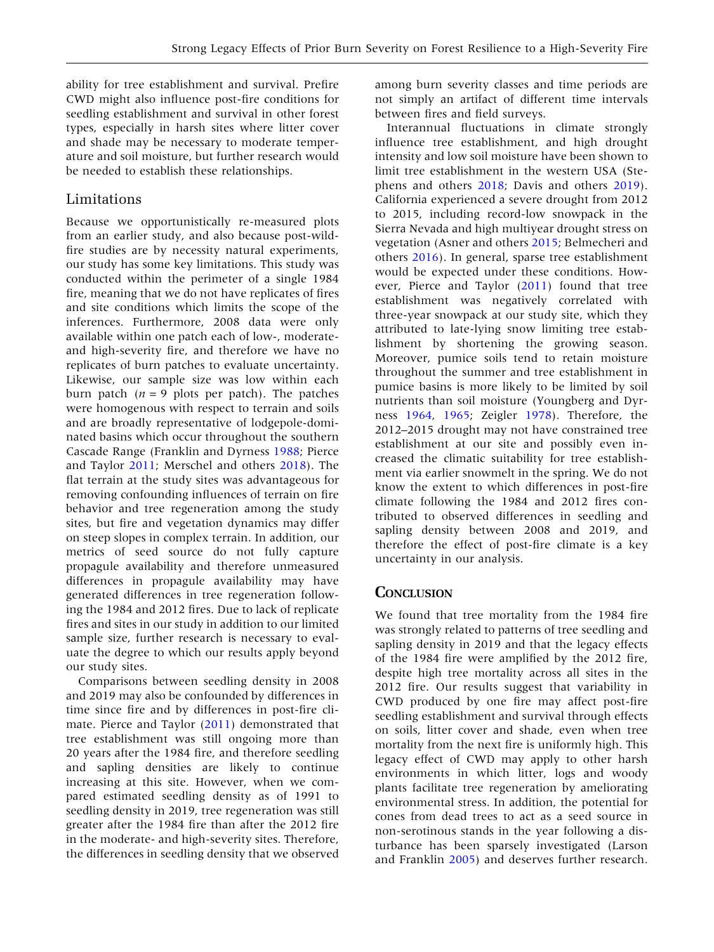ability for tree establishment and survival. Prefire CWD might also influence post-fire conditions for seedling establishment and survival in other forest types, especially in harsh sites where litter cover and shade may be necessary to moderate temperature and soil moisture, but further research would be needed to establish these relationships.

# Limitations

Because we opportunistically re-measured plots from an earlier study, and also because post-wildfire studies are by necessity natural experiments, our study has some key limitations. This study was conducted within the perimeter of a single 1984 fire, meaning that we do not have replicates of fires and site conditions which limits the scope of the inferences. Furthermore, 2008 data were only available within one patch each of low-, moderateand high-severity fire, and therefore we have no replicates of burn patches to evaluate uncertainty. Likewise, our sample size was low within each burn patch ( $n = 9$  plots per patch). The patches were homogenous with respect to terrain and soils and are broadly representative of lodgepole-dominated basins which occur throughout the southern Cascade Range (Franklin and Dyrness [1988](#page-12-0); Pierce and Taylor [2011](#page-12-0); Merschel and others [2018\)](#page-12-0). The flat terrain at the study sites was advantageous for removing confounding influences of terrain on fire behavior and tree regeneration among the study sites, but fire and vegetation dynamics may differ on steep slopes in complex terrain. In addition, our metrics of seed source do not fully capture propagule availability and therefore unmeasured differences in propagule availability may have generated differences in tree regeneration following the 1984 and 2012 fires. Due to lack of replicate fires and sites in our study in addition to our limited sample size, further research is necessary to evaluate the degree to which our results apply beyond our study sites.

Comparisons between seedling density in 2008 and 2019 may also be confounded by differences in time since fire and by differences in post-fire climate. Pierce and Taylor [\(2011](#page-12-0)) demonstrated that tree establishment was still ongoing more than 20 years after the 1984 fire, and therefore seedling and sapling densities are likely to continue increasing at this site. However, when we compared estimated seedling density as of 1991 to seedling density in 2019, tree regeneration was still greater after the 1984 fire than after the 2012 fire in the moderate- and high-severity sites. Therefore, the differences in seedling density that we observed

among burn severity classes and time periods are not simply an artifact of different time intervals between fires and field surveys.

Interannual fluctuations in climate strongly influence tree establishment, and high drought intensity and low soil moisture have been shown to limit tree establishment in the western USA (Stephens and others [2018;](#page-12-0) Davis and others [2019](#page-11-0)). California experienced a severe drought from 2012 to 2015, including record-low snowpack in the Sierra Nevada and high multiyear drought stress on vegetation (Asner and others [2015](#page-11-0); Belmecheri and others [2016\)](#page-11-0). In general, sparse tree establishment would be expected under these conditions. However, Pierce and Taylor ([2011\)](#page-12-0) found that tree establishment was negatively correlated with three-year snowpack at our study site, which they attributed to late-lying snow limiting tree establishment by shortening the growing season. Moreover, pumice soils tend to retain moisture throughout the summer and tree establishment in pumice basins is more likely to be limited by soil nutrients than soil moisture (Youngberg and Dyrness [1964](#page-13-0), [1965;](#page-13-0) Zeigler [1978\)](#page-13-0). Therefore, the 2012–2015 drought may not have constrained tree establishment at our site and possibly even increased the climatic suitability for tree establishment via earlier snowmelt in the spring. We do not know the extent to which differences in post-fire climate following the 1984 and 2012 fires contributed to observed differences in seedling and sapling density between 2008 and 2019, and therefore the effect of post-fire climate is a key uncertainty in our analysis.

# **CONCLUSION**

We found that tree mortality from the 1984 fire was strongly related to patterns of tree seedling and sapling density in 2019 and that the legacy effects of the 1984 fire were amplified by the 2012 fire, despite high tree mortality across all sites in the 2012 fire. Our results suggest that variability in CWD produced by one fire may affect post-fire seedling establishment and survival through effects on soils, litter cover and shade, even when tree mortality from the next fire is uniformly high. This legacy effect of CWD may apply to other harsh environments in which litter, logs and woody plants facilitate tree regeneration by ameliorating environmental stress. In addition, the potential for cones from dead trees to act as a seed source in non-serotinous stands in the year following a disturbance has been sparsely investigated (Larson and Franklin [2005\)](#page-12-0) and deserves further research.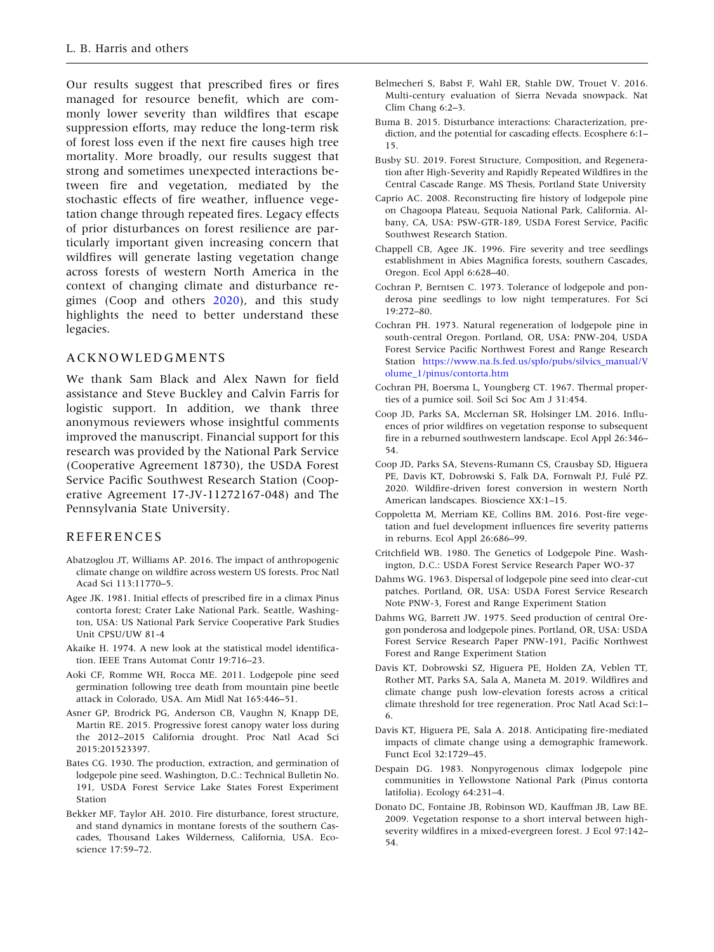<span id="page-11-0"></span>Our results suggest that prescribed fires or fires managed for resource benefit, which are commonly lower severity than wildfires that escape suppression efforts, may reduce the long-term risk of forest loss even if the next fire causes high tree mortality. More broadly, our results suggest that strong and sometimes unexpected interactions between fire and vegetation, mediated by the stochastic effects of fire weather, influence vegetation change through repeated fires. Legacy effects of prior disturbances on forest resilience are particularly important given increasing concern that wildfires will generate lasting vegetation change across forests of western North America in the context of changing climate and disturbance regimes (Coop and others 2020), and this study highlights the need to better understand these legacies.

#### ACKNOWLEDGMENTS

We thank Sam Black and Alex Nawn for field assistance and Steve Buckley and Calvin Farris for logistic support. In addition, we thank three anonymous reviewers whose insightful comments improved the manuscript. Financial support for this research was provided by the National Park Service (Cooperative Agreement 18730), the USDA Forest Service Pacific Southwest Research Station (Cooperative Agreement 17-JV-11272167-048) and The Pennsylvania State University.

#### REFERENCES

- Abatzoglou JT, Williams AP. 2016. The impact of anthropogenic climate change on wildfire across western US forests. Proc Natl Acad Sci 113:11770–5.
- Agee JK. 1981. Initial effects of prescribed fire in a climax Pinus contorta forest; Crater Lake National Park. Seattle, Washington, USA: US National Park Service Cooperative Park Studies Unit CPSU/UW 81-4
- Akaike H. 1974. A new look at the statistical model identification. IEEE Trans Automat Contr 19:716–23.
- Aoki CF, Romme WH, Rocca ME. 2011. Lodgepole pine seed germination following tree death from mountain pine beetle attack in Colorado, USA. Am Midl Nat 165:446–51.
- Asner GP, Brodrick PG, Anderson CB, Vaughn N, Knapp DE, Martin RE. 2015. Progressive forest canopy water loss during the 2012–2015 California drought. Proc Natl Acad Sci 2015:201523397.
- Bates CG. 1930. The production, extraction, and germination of lodgepole pine seed. Washington, D.C.: Technical Bulletin No. 191, USDA Forest Service Lake States Forest Experiment Station
- Bekker MF, Taylor AH. 2010. Fire disturbance, forest structure, and stand dynamics in montane forests of the southern Cascades, Thousand Lakes Wilderness, California, USA. Ecoscience 17:59–72.
- Belmecheri S, Babst F, Wahl ER, Stahle DW, Trouet V. 2016. Multi-century evaluation of Sierra Nevada snowpack. Nat Clim Chang 6:2–3.
- Buma B. 2015. Disturbance interactions: Characterization, prediction, and the potential for cascading effects. Ecosphere 6:1– 15.
- Busby SU. 2019. Forest Structure, Composition, and Regeneration after High-Severity and Rapidly Repeated Wildfires in the Central Cascade Range. MS Thesis, Portland State University
- Caprio AC. 2008. Reconstructing fire history of lodgepole pine on Chagoopa Plateau, Sequoia National Park, California. Albany, CA, USA: PSW-GTR-189, USDA Forest Service, Pacific Southwest Research Station.
- Chappell CB, Agee JK. 1996. Fire severity and tree seedlings establishment in Abies Magnifica forests, southern Cascades, Oregon. Ecol Appl 6:628–40.
- Cochran P, Berntsen C. 1973. Tolerance of lodgepole and ponderosa pine seedlings to low night temperatures. For Sci 19:272–80.
- Cochran PH. 1973. Natural regeneration of lodgepole pine in south-central Oregon. Portland, OR, USA: PNW-204, USDA Forest Service Pacific Northwest Forest and Range Research Station [https://www.na.fs.fed.us/spfo/pubs/silvics\\_manual/V](https://www.na.fs.fed.us/spfo/pubs/silvics_manual/Volume_1/pinus/contorta.htm) [olume\\_1/pinus/contorta.htm](https://www.na.fs.fed.us/spfo/pubs/silvics_manual/Volume_1/pinus/contorta.htm)
- Cochran PH, Boersma L, Youngberg CT. 1967. Thermal properties of a pumice soil. Soil Sci Soc Am J 31:454.
- Coop JD, Parks SA, Mcclernan SR, Holsinger LM. 2016. Influences of prior wildfires on vegetation response to subsequent fire in a reburned southwestern landscape. Ecol Appl 26:346– 54.
- Coop JD, Parks SA, Stevens-Rumann CS, Crausbay SD, Higuera PE, Davis KT, Dobrowski S, Falk DA, Fornwalt PJ, Fulé PZ. 2020. Wildfire-driven forest conversion in western North American landscapes. Bioscience XX:1–15.
- Coppoletta M, Merriam KE, Collins BM. 2016. Post-fire vegetation and fuel development influences fire severity patterns in reburns. Ecol Appl 26:686–99.
- Critchfield WB. 1980. The Genetics of Lodgepole Pine. Washington, D.C.: USDA Forest Service Research Paper WO-37
- Dahms WG. 1963. Dispersal of lodgepole pine seed into clear-cut patches. Portland, OR, USA: USDA Forest Service Research Note PNW-3, Forest and Range Experiment Station
- Dahms WG, Barrett JW. 1975. Seed production of central Oregon ponderosa and lodgepole pines. Portland, OR, USA: USDA Forest Service Research Paper PNW-191, Pacific Northwest Forest and Range Experiment Station
- Davis KT, Dobrowski SZ, Higuera PE, Holden ZA, Veblen TT, Rother MT, Parks SA, Sala A, Maneta M. 2019. Wildfires and climate change push low-elevation forests across a critical climate threshold for tree regeneration. Proc Natl Acad Sci:1– 6.
- Davis KT, Higuera PE, Sala A. 2018. Anticipating fire-mediated impacts of climate change using a demographic framework. Funct Ecol 32:1729–45.
- Despain DG. 1983. Nonpyrogenous climax lodgepole pine communities in Yellowstone National Park (Pinus contorta latifolia). Ecology 64:231–4.
- Donato DC, Fontaine JB, Robinson WD, Kauffman JB, Law BE. 2009. Vegetation response to a short interval between highseverity wildfires in a mixed-evergreen forest. J Ecol 97:142– 54.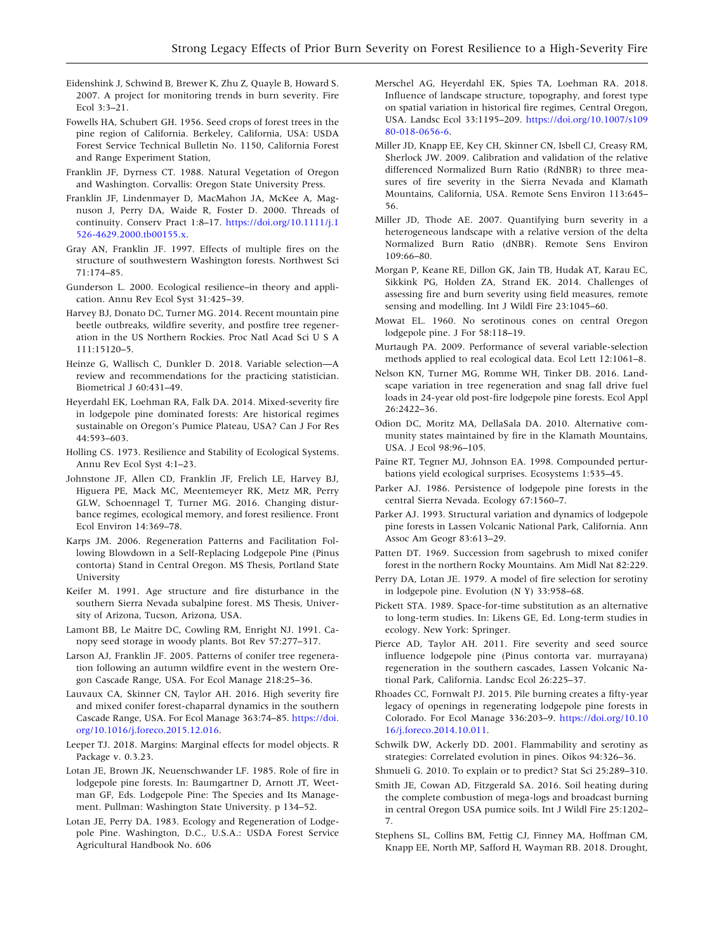- <span id="page-12-0"></span>Eidenshink J, Schwind B, Brewer K, Zhu Z, Quayle B, Howard S. 2007. A project for monitoring trends in burn severity. Fire Ecol 3:3–21.
- Fowells HA, Schubert GH. 1956. Seed crops of forest trees in the pine region of California. Berkeley, California, USA: USDA Forest Service Technical Bulletin No. 1150, California Forest and Range Experiment Station,
- Franklin JF, Dyrness CT. 1988. Natural Vegetation of Oregon and Washington. Corvallis: Oregon State University Press.
- Franklin JF, Lindenmayer D, MacMahon JA, McKee A, Magnuson J, Perry DA, Waide R, Foster D. 2000. Threads of continuity. Conserv Pract 1:8–17. [https://doi.org/10.1111/j.1](https://doi.org/10.1111/j.1526-4629.2000.tb00155.x) [526-4629.2000.tb00155.x.](https://doi.org/10.1111/j.1526-4629.2000.tb00155.x)
- Gray AN, Franklin JF. 1997. Effects of multiple fires on the structure of southwestern Washington forests. Northwest Sci 71:174–85.
- Gunderson L. 2000. Ecological resilience–in theory and application. Annu Rev Ecol Syst 31:425–39.
- Harvey BJ, Donato DC, Turner MG. 2014. Recent mountain pine beetle outbreaks, wildfire severity, and postfire tree regeneration in the US Northern Rockies. Proc Natl Acad Sci U S A 111:15120–5.
- Heinze G, Wallisch C, Dunkler D. 2018. Variable selection—A review and recommendations for the practicing statistician. Biometrical J 60:431–49.
- Heyerdahl EK, Loehman RA, Falk DA. 2014. Mixed-severity fire in lodgepole pine dominated forests: Are historical regimes sustainable on Oregon's Pumice Plateau, USA? Can J For Res 44:593–603.
- Holling CS. 1973. Resilience and Stability of Ecological Systems. Annu Rev Ecol Syst 4:1–23.
- Johnstone JF, Allen CD, Franklin JF, Frelich LE, Harvey BJ, Higuera PE, Mack MC, Meentemeyer RK, Metz MR, Perry GLW, Schoennagel T, Turner MG. 2016. Changing disturbance regimes, ecological memory, and forest resilience. Front Ecol Environ 14:369–78.
- Karps JM. 2006. Regeneration Patterns and Facilitation Following Blowdown in a Self-Replacing Lodgepole Pine (Pinus contorta) Stand in Central Oregon. MS Thesis, Portland State University
- Keifer M. 1991. Age structure and fire disturbance in the southern Sierra Nevada subalpine forest. MS Thesis, University of Arizona, Tucson, Arizona, USA.
- Lamont BB, Le Maitre DC, Cowling RM, Enright NJ. 1991. Canopy seed storage in woody plants. Bot Rev 57:277–317.
- Larson AJ, Franklin JF. 2005. Patterns of conifer tree regeneration following an autumn wildfire event in the western Oregon Cascade Range, USA. For Ecol Manage 218:25–36.
- Lauvaux CA, Skinner CN, Taylor AH. 2016. High severity fire and mixed conifer forest-chaparral dynamics in the southern Cascade Range, USA. For Ecol Manage 363:74–85. [https://doi.](https://doi.org/10.1016/j.foreco.2015.12.016) [org/10.1016/j.foreco.2015.12.016](https://doi.org/10.1016/j.foreco.2015.12.016).
- Leeper TJ. 2018. Margins: Marginal effects for model objects. R Package v. 0.3.23.
- Lotan JE, Brown JK, Neuenschwander LF. 1985. Role of fire in lodgepole pine forests. In: Baumgartner D, Arnott JT, Weetman GF, Eds. Lodgepole Pine: The Species and Its Management. Pullman: Washington State University. p 134–52.
- Lotan JE, Perry DA. 1983. Ecology and Regeneration of Lodgepole Pine. Washington, D.C., U.S.A.: USDA Forest Service Agricultural Handbook No. 606
- Merschel AG, Heyerdahl EK, Spies TA, Loehman RA. 2018. Influence of landscape structure, topography, and forest type on spatial variation in historical fire regimes, Central Oregon, USA. Landsc Ecol 33:1195–209. [https://doi.org/10.1007/s109](https://doi.org/10.1007/s10980-018-0656-6) [80-018-0656-6](https://doi.org/10.1007/s10980-018-0656-6).
- Miller JD, Knapp EE, Key CH, Skinner CN, Isbell CJ, Creasy RM, Sherlock JW. 2009. Calibration and validation of the relative differenced Normalized Burn Ratio (RdNBR) to three measures of fire severity in the Sierra Nevada and Klamath Mountains, California, USA. Remote Sens Environ 113:645– 56.
- Miller JD, Thode AE. 2007. Quantifying burn severity in a heterogeneous landscape with a relative version of the delta Normalized Burn Ratio (dNBR). Remote Sens Environ 109:66–80.
- Morgan P, Keane RE, Dillon GK, Jain TB, Hudak AT, Karau EC, Sikkink PG, Holden ZA, Strand EK. 2014. Challenges of assessing fire and burn severity using field measures, remote sensing and modelling. Int J Wildl Fire 23:1045–60.
- Mowat EL. 1960. No serotinous cones on central Oregon lodgepole pine. J For 58:118–19.
- Murtaugh PA. 2009. Performance of several variable-selection methods applied to real ecological data. Ecol Lett 12:1061–8.
- Nelson KN, Turner MG, Romme WH, Tinker DB. 2016. Landscape variation in tree regeneration and snag fall drive fuel loads in 24-year old post-fire lodgepole pine forests. Ecol Appl 26:2422–36.
- Odion DC, Moritz MA, DellaSala DA. 2010. Alternative community states maintained by fire in the Klamath Mountains, USA. J Ecol 98:96–105.
- Paine RT, Tegner MJ, Johnson EA. 1998. Compounded perturbations yield ecological surprises. Ecosystems 1:535–45.
- Parker AJ. 1986. Persistence of lodgepole pine forests in the central Sierra Nevada. Ecology 67:1560–7.
- Parker AJ. 1993. Structural variation and dynamics of lodgepole pine forests in Lassen Volcanic National Park, California. Ann Assoc Am Geogr 83:613–29.
- Patten DT. 1969. Succession from sagebrush to mixed conifer forest in the northern Rocky Mountains. Am Midl Nat 82:229.
- Perry DA, Lotan JE. 1979. A model of fire selection for serotiny in lodgepole pine. Evolution (N Y) 33:958–68.
- Pickett STA. 1989. Space-for-time substitution as an alternative to long-term studies. In: Likens GE, Ed. Long-term studies in ecology. New York: Springer.
- Pierce AD, Taylor AH. 2011. Fire severity and seed source influence lodgepole pine (Pinus contorta var. murrayana) regeneration in the southern cascades, Lassen Volcanic National Park, California. Landsc Ecol 26:225–37.
- Rhoades CC, Fornwalt PJ. 2015. Pile burning creates a fifty-year legacy of openings in regenerating lodgepole pine forests in Colorado. For Ecol Manage 336:203–9. [https://doi.org/10.10](https://doi.org/10.1016/j.foreco.2014.10.011) [16/j.foreco.2014.10.011.](https://doi.org/10.1016/j.foreco.2014.10.011)
- Schwilk DW, Ackerly DD. 2001. Flammability and serotiny as strategies: Correlated evolution in pines. Oikos 94:326–36.
- Shmueli G. 2010. To explain or to predict? Stat Sci 25:289–310.
- Smith JE, Cowan AD, Fitzgerald SA. 2016. Soil heating during the complete combustion of mega-logs and broadcast burning in central Oregon USA pumice soils. Int J Wildl Fire 25:1202– 7.
- Stephens SL, Collins BM, Fettig CJ, Finney MA, Hoffman CM, Knapp EE, North MP, Safford H, Wayman RB. 2018. Drought,